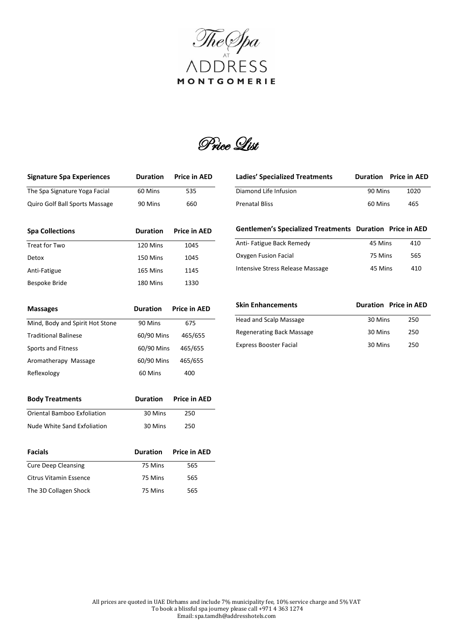

Price List

| <b>Signature Spa Experiences</b>   | <b>Duration</b> | <b>Price in AED</b> |
|------------------------------------|-----------------|---------------------|
| The Spa Signature Yoga Facial      | 60 Mins         | 535                 |
| Quiro Golf Ball Sports Massage     | 90 Mins         | 660                 |
| <b>Spa Collections</b>             | <b>Duration</b> | <b>Price in AED</b> |
| Treat for Two                      | 120 Mins        | 1045                |
| Detox                              | 150 Mins        | 1045                |
| Anti-Fatigue                       | 165 Mins        | 1145                |
| <b>Bespoke Bride</b>               | 180 Mins        | 1330                |
| <b>Massages</b>                    | <b>Duration</b> | <b>Price in AED</b> |
| Mind, Body and Spirit Hot Stone    | 90 Mins         | 675                 |
| <b>Traditional Balinese</b>        | 60/90 Mins      | 465/655             |
| <b>Sports and Fitness</b>          | 60/90 Mins      | 465/655             |
| Aromatherapy Massage               | 60/90 Mins      | 465/655             |
| Reflexology                        | 60 Mins         | 400                 |
| <b>Body Treatments</b>             | <b>Duration</b> | <b>Price in AED</b> |
| <b>Oriental Bamboo Exfoliation</b> | 30 Mins         | 250                 |
| <b>Nude White Sand Exfoliation</b> | 30 Mins         | 250                 |
| <b>Facials</b>                     | <b>Duration</b> | <b>Price in AED</b> |
| <b>Cure Deep Cleansing</b>         | 75 Mins         | 565                 |
| <b>Citrus Vitamin Essence</b>      | 75 Mins         | 565                 |
| The 3D Collagen Shock              | 75 Mins         | 565                 |

| <b>Ladies' Specialized Treatments</b> |         | <b>Duration</b> Price in AED |
|---------------------------------------|---------|------------------------------|
| Diamond Life Infusion                 | 90 Mins | 1020                         |
| <b>Prenatal Bliss</b>                 | 60 Mins | 465                          |

**Gentlemen's Specialized Treatments Duration Price in AED** 

| Anti-Fatigue Back Remedy         | 45 Mins | 410 |
|----------------------------------|---------|-----|
| Oxygen Fusion Facial             | 75 Mins | 565 |
| Intensive Stress Release Massage | 45 Mins | 410 |

| Skin Enhancements             |         | <b>Duration</b> Price in AED |
|-------------------------------|---------|------------------------------|
| Head and Scalp Massage        | 30 Mins | 250                          |
| Regenerating Back Massage     | 30 Mins | 250                          |
| <b>Express Booster Facial</b> | 30 Mins | 250                          |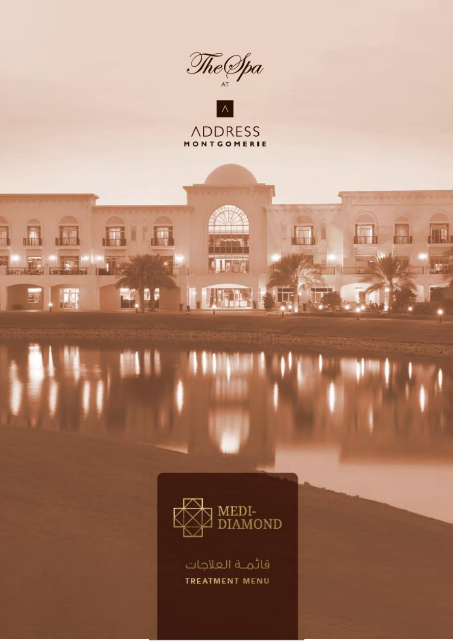



**Allahar** 

**ARTICLE** 

191

**STR** 

低

雁

in<sup>1</sup>

ı

so ne

**ME** 

H

國工科

H

**ATL** 

 $\mathcal{M}$ 

H



قائمـة العلاجات TREATMENT MENU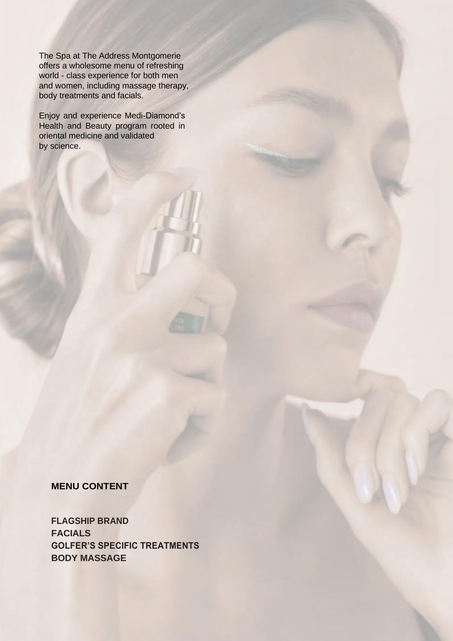The Spa at The Address Montgomerie offers a wholesome menu of refreshing world - class experience for both men and women, including massage therapy, body treatments and facials.

Enjoy and experience Medi-Diamond's Health and Beauty program rooted in oriental medicine and validated by science.

**MENU CONTENT**

**FLAGSHIP BRAND FACIALS GOLFER'S SPECIFIC TREATMENTS BODY MASSAGE**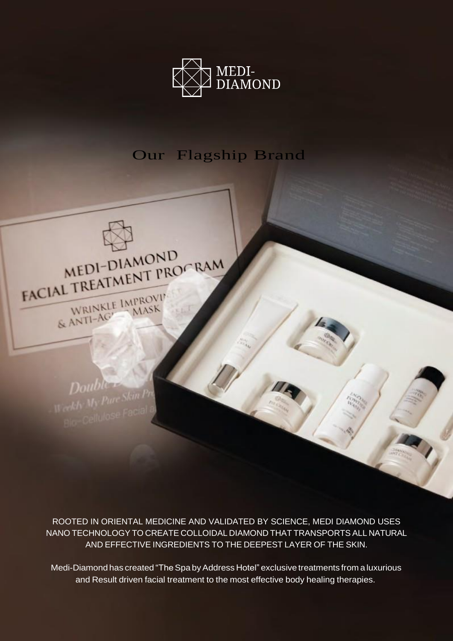

# Our Flagship Brand



ROOTED IN ORIENTAL MEDICINE AND VALIDATED BY SCIENCE, MEDI DIAMOND USES NANO TECHNOLOGY TO CREATE COLLOIDAL DIAMOND THAT TRANSPORTS ALL NATURAL AND EFFECTIVE INGREDIENTS TO THE DEEPEST LAYER OF THE SKIN.

Medi-Diamond has created "The Spa by Address Hotel" exclusive treatments from a luxurious and Result driven facial treatment to the most effective body healing therapies.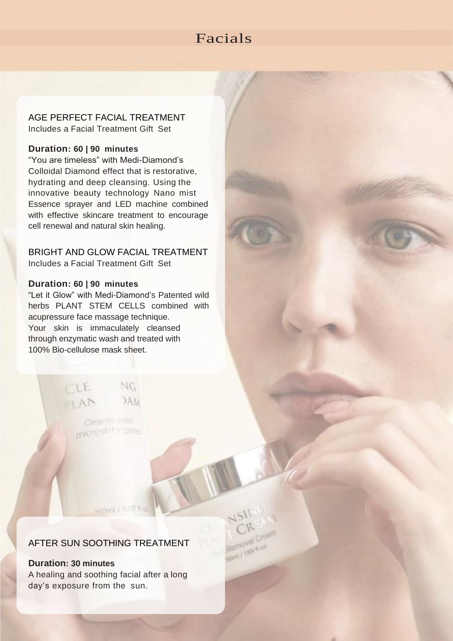# Facials

Removal nos

AGE PERFECT FACIAL TREATMENT Includes a Facial Treatment Gift Set

#### **Duration: 60 | 90 minutes**

"You are timeless" with Medi-Diamond's Colloidal Diamond effect that is restorative, hydrating and deep cleansing. Using the innovative beauty technology Nano mist Essence sprayer and LED machine combined with effective skincare treatment to encourage cell renewal and natural skin healing.

# BRIGHT AND GLOW FACIAL TREATMENT

Includes a Facial Treatment Gift Set

#### **Duration: 60 | 90 minutes**

"Let it Glow" with Medi-Diamond's Patented wild herbs PLANT STEM CELLS combined with acupressure face massage technique. Your skin is immaculately cleansed through enzymatic wash and treated with 100% Bio-cellulose mask sheet.



# AFTER SUN SOOTHING TREATMENT

HQml / 5.07 ft o

**Duration: 30 minutes** A healing and soothing facial after a long day's exposure from the sun.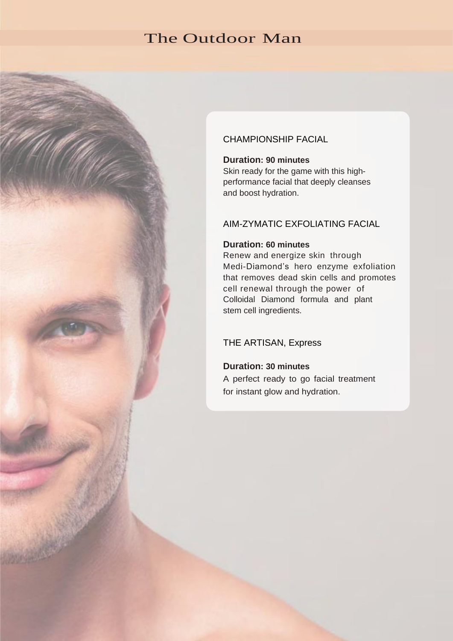# The Outdoor Man

# CHAMPIONSHIP FACIAL

### **Duration: 90 minutes**

Skin ready for the game with this highperformance facial that deeply cleanses and boost hydration.

## AIM-ZYMATIC EXFOLIATING FACIAL

#### **Duration: 60 minutes**

Renew and energize skin through Medi-Diamond's hero enzyme exfoliation that removes dead skin cells and promotes cell renewal through the power of Colloidal Diamond formula and plant stem cell ingredients.

#### THE ARTISAN, Express

#### **Duration: 30 minutes**

A perfect ready to go facial treatment for instant glow and hydration.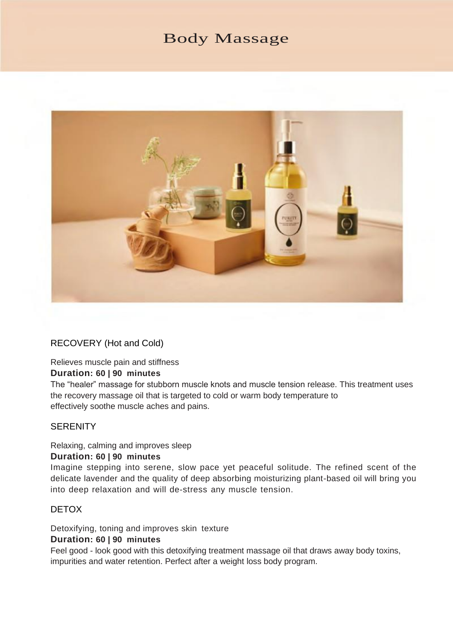# Body Massage



### RECOVERY (Hot and Cold)

# Relieves muscle pain and stiffness

#### **Duration: 60 | 90 minutes**

The "healer" massage for stubborn muscle knots and muscle tension release. This treatment uses the recovery massage oil that is targeted to cold or warm body temperature to effectively soothe muscle aches and pains.

#### **SERENITY**

# Relaxing, calming and improves sleep

## **Duration: 60 | 90 minutes**

Imagine stepping into serene, slow pace yet peaceful solitude. The refined scent of the delicate lavender and the quality of deep absorbing moisturizing plant-based oil will bring you into deep relaxation and will de-stress any muscle tension.

#### DETOX

Detoxifying, toning and improves skin texture **Duration: 60 | 90 minutes**

Feel good - look good with this detoxifying treatment massage oil that draws away body toxins, impurities and water retention. Perfect after a weight loss body program.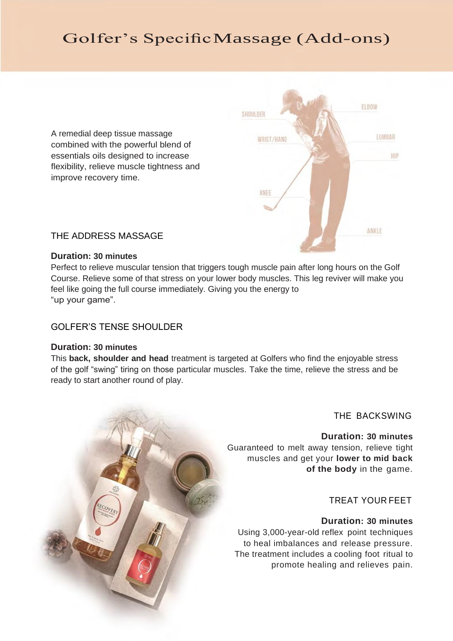# Golfer's SpecificMassage (Add-ons)

A remedial deep tissue massage combined with the powerful blend of essentials oils designed to increase flexibility, relieve muscle tightness and improve recovery time.



### THE ADDRESS MASSAGE

#### **Duration: 30 minutes**

Perfect to relieve muscular tension that triggers tough muscle pain after long hours on the Golf Course. Relieve some of that stress on your lower body muscles. This leg reviver will make you feel like going the full course immediately. Giving you the energy to "up your game".

### GOLFER'S TENSE SHOULDER

#### **Duration: 30 minutes**

This **back, shoulder and head** treatment is targeted at Golfers who find the enjoyable stress of the golf "swing" tiring on those particular muscles. Take the time, relieve the stress and be ready to start another round of play.



THE BACKSWING

**Duration: 30 minutes** Guaranteed to melt away tension, relieve tight muscles and get your **lower to mid back of the body** in the game.

### TREAT YOUR FEET

## **Duration: 30 minutes**

Using 3,000-year-old reflex point techniques to heal imbalances and release pressure. The treatment includes a cooling foot ritual to promote healing and relieves pain.